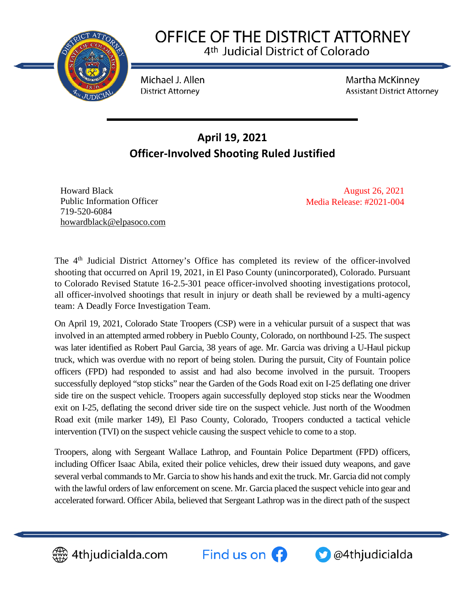

## OFFICE OF THE DISTRICT ATTORNEY 4<sup>th</sup> Judicial District of Colorado

Michael J. Allen **District Attorney** 

**Martha McKinney Assistant District Attorney** 

## **April 19, 2021 Officer-Involved Shooting Ruled Justified**

Howard Black Public Information Officer 719-520-6084 [howardblack@elpasoco.com](mailto:howardblack@elpasoco.com)

August 26, 2021 Media Release: #2021-004

The 4<sup>th</sup> Judicial District Attorney's Office has completed its review of the officer-involved shooting that occurred on April 19, 2021, in El Paso County (unincorporated), Colorado. Pursuant to Colorado Revised Statute 16-2.5-301 peace officer-involved shooting investigations protocol, all officer-involved shootings that result in injury or death shall be reviewed by a multi-agency team: A Deadly Force Investigation Team.

On April 19, 2021, Colorado State Troopers (CSP) were in a vehicular pursuit of a suspect that was involved in an attempted armed robbery in Pueblo County, Colorado, on northbound I-25. The suspect was later identified as Robert Paul Garcia, 38 years of age. Mr. Garcia was driving a U-Haul pickup truck, which was overdue with no report of being stolen. During the pursuit, City of Fountain police officers (FPD) had responded to assist and had also become involved in the pursuit. Troopers successfully deployed "stop sticks" near the Garden of the Gods Road exit on I-25 deflating one driver side tire on the suspect vehicle. Troopers again successfully deployed stop sticks near the Woodmen exit on I-25, deflating the second driver side tire on the suspect vehicle. Just north of the Woodmen Road exit (mile marker 149), El Paso County, Colorado, Troopers conducted a tactical vehicle intervention (TVI) on the suspect vehicle causing the suspect vehicle to come to a stop.

Troopers, along with Sergeant Wallace Lathrop, and Fountain Police Department (FPD) officers, including Officer Isaac Abila, exited their police vehicles, drew their issued duty weapons, and gave several verbal commands to Mr. Garcia to show his hands and exit the truck. Mr. Garcia did not comply with the lawful orders of law enforcement on scene. Mr. Garcia placed the suspect vehicle into gear and accelerated forward. Officer Abila, believed that Sergeant Lathrop was in the direct path of the suspect



▒ 4thjudicialda.com

Find us on  $\bigodot$ 

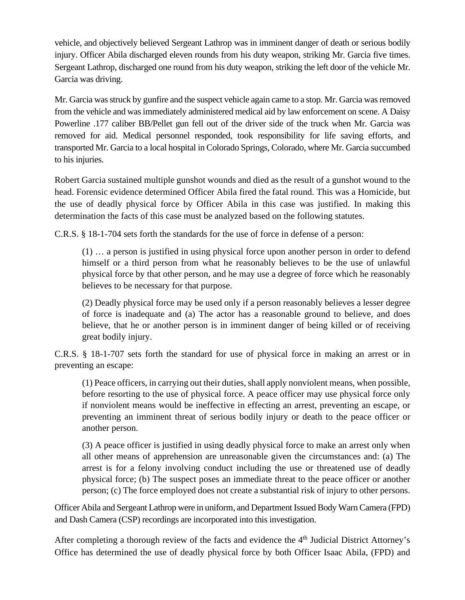vehicle, and objectively believed Sergeant Lathrop was in imminent danger of death or serious bodily injury. Officer Abila discharged eleven rounds from his duty weapon, striking Mr. Garcia five times. Sergeant Lathrop, discharged one round from his duty weapon, striking the left door of the vehicle Mr. Garcia was driving.

Mr. Garcia was struck by gunfire and the suspect vehicle again came to a stop. Mr. Garcia was removed from the vehicle and was immediately administered medical aid by law enforcement on scene. A Daisy Powerline .177 caliber BB/Pellet gun fell out of the driver side of the truck when Mr. Garcia was removed for aid. Medical personnel responded, took responsibility for life saving efforts, and transported Mr. Garcia to a local hospital in Colorado Springs, Colorado, where Mr. Garcia succumbed to his injuries.

Robert Garcia sustained multiple gunshot wounds and died as the result of a gunshot wound to the head. Forensic evidence determined Officer Abila fired the fatal round. This was a Homicide, but the use of deadly physical force by Officer Abila in this case was justified. In making this determination the facts of this case must be analyzed based on the following statutes.

C.R.S. § 18-1-704 sets forth the standards for the use of force in defense of a person:

(1) … a person is justified in using physical force upon another person in order to defend himself or a third person from what he reasonably believes to be the use of unlawful physical force by that other person, and he may use a degree of force which he reasonably believes to be necessary for that purpose.

(2) Deadly physical force may be used only if a person reasonably believes a lesser degree of force is inadequate and (a) The actor has a reasonable ground to believe, and does believe, that he or another person is in imminent danger of being killed or of receiving great bodily injury.

C.R.S. § 18-1-707 sets forth the standard for use of physical force in making an arrest or in preventing an escape:

(1) Peace officers, in carrying out their duties, shall apply nonviolent means, when possible, before resorting to the use of physical force. A peace officer may use physical force only if nonviolent means would be ineffective in effecting an arrest, preventing an escape, or preventing an imminent threat of serious bodily injury or death to the peace officer or another person.

(3) A peace officer is justified in using deadly physical force to make an arrest only when all other means of apprehension are unreasonable given the circumstances and: (a) The arrest is for a felony involving conduct including the use or threatened use of deadly physical force; (b) The suspect poses an immediate threat to the peace officer or another person; (c) The force employed does not create a substantial risk of injury to other persons.

Officer Abila and Sergeant Lathrop were in uniform, and Department Issued Body Warn Camera (FPD) and Dash Camera (CSP) recordings are incorporated into this investigation.

After completing a thorough review of the facts and evidence the 4<sup>th</sup> Judicial District Attorney's Office has determined the use of deadly physical force by both Officer Isaac Abila, (FPD) and